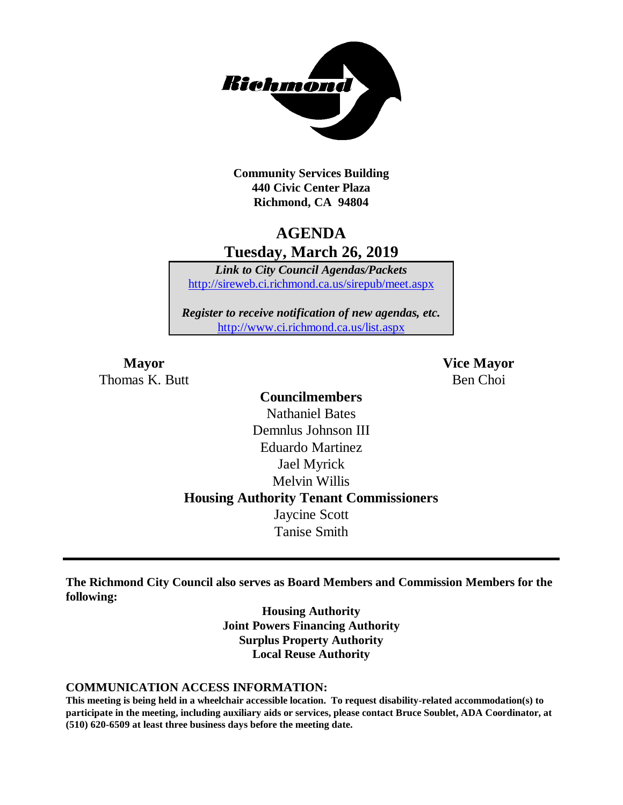

**Community Services Building 440 Civic Center Plaza Richmond, CA 94804**

## **AGENDA Tuesday, March 26, 2019**

*Link to City Council Agendas/Packets* <http://sireweb.ci.richmond.ca.us/sirepub/meet.aspx>

*Register to receive notification of new agendas, etc.* <http://www.ci.richmond.ca.us/list.aspx>

Thomas K. Butt Ben Choi

**Mayor Vice Mayor**

## **Councilmembers** Nathaniel Bates Demnlus Johnson III Eduardo Martinez Jael Myrick Melvin Willis **Housing Authority Tenant Commissioners** Jaycine Scott Tanise Smith

**The Richmond City Council also serves as Board Members and Commission Members for the following:**

> **Housing Authority Joint Powers Financing Authority Surplus Property Authority Local Reuse Authority**

#### **COMMUNICATION ACCESS INFORMATION:**

**This meeting is being held in a wheelchair accessible location. To request disability-related accommodation(s) to participate in the meeting, including auxiliary aids or services, please contact Bruce Soublet, ADA Coordinator, at (510) 620-6509 at least three business days before the meeting date.**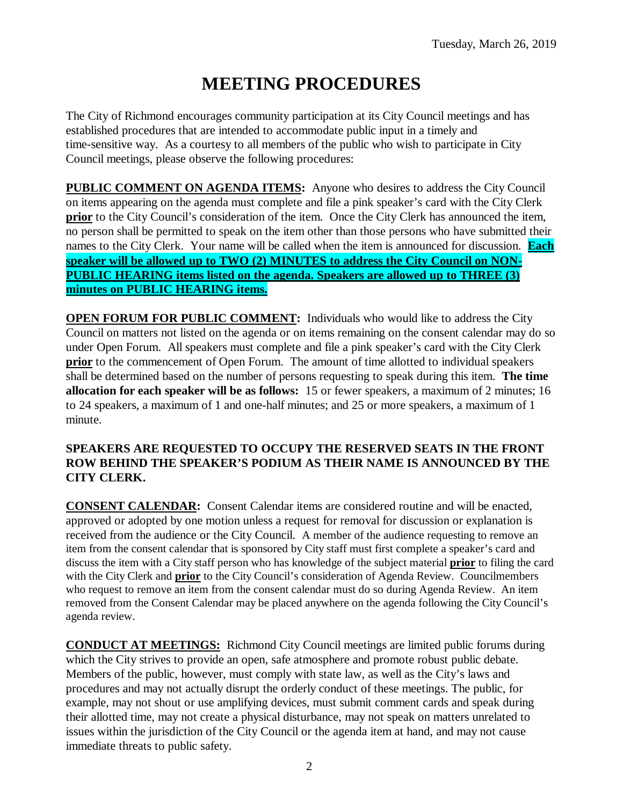# **MEETING PROCEDURES**

The City of Richmond encourages community participation at its City Council meetings and has established procedures that are intended to accommodate public input in a timely and time-sensitive way. As a courtesy to all members of the public who wish to participate in City Council meetings, please observe the following procedures:

**PUBLIC COMMENT ON AGENDA ITEMS:** Anyone who desires to address the City Council on items appearing on the agenda must complete and file a pink speaker's card with the City Clerk **prior** to the City Council's consideration of the item. Once the City Clerk has announced the item, no person shall be permitted to speak on the item other than those persons who have submitted their names to the City Clerk. Your name will be called when the item is announced for discussion. **Each speaker will be allowed up to TWO (2) MINUTES to address the City Council on NON-PUBLIC HEARING items listed on the agenda. Speakers are allowed up to THREE (3) minutes on PUBLIC HEARING items.**

**OPEN FORUM FOR PUBLIC COMMENT:** Individuals who would like to address the City Council on matters not listed on the agenda or on items remaining on the consent calendar may do so under Open Forum. All speakers must complete and file a pink speaker's card with the City Clerk **prior** to the commencement of Open Forum. The amount of time allotted to individual speakers shall be determined based on the number of persons requesting to speak during this item. **The time allocation for each speaker will be as follows:** 15 or fewer speakers, a maximum of 2 minutes; 16 to 24 speakers, a maximum of 1 and one-half minutes; and 25 or more speakers, a maximum of 1 minute.

#### **SPEAKERS ARE REQUESTED TO OCCUPY THE RESERVED SEATS IN THE FRONT ROW BEHIND THE SPEAKER'S PODIUM AS THEIR NAME IS ANNOUNCED BY THE CITY CLERK.**

**CONSENT CALENDAR:** Consent Calendar items are considered routine and will be enacted, approved or adopted by one motion unless a request for removal for discussion or explanation is received from the audience or the City Council. A member of the audience requesting to remove an item from the consent calendar that is sponsored by City staff must first complete a speaker's card and discuss the item with a City staff person who has knowledge of the subject material **prior** to filing the card with the City Clerk and **prior** to the City Council's consideration of Agenda Review. Councilmembers who request to remove an item from the consent calendar must do so during Agenda Review. An item removed from the Consent Calendar may be placed anywhere on the agenda following the City Council's agenda review.

**CONDUCT AT MEETINGS:** Richmond City Council meetings are limited public forums during which the City strives to provide an open, safe atmosphere and promote robust public debate. Members of the public, however, must comply with state law, as well as the City's laws and procedures and may not actually disrupt the orderly conduct of these meetings. The public, for example, may not shout or use amplifying devices, must submit comment cards and speak during their allotted time, may not create a physical disturbance, may not speak on matters unrelated to issues within the jurisdiction of the City Council or the agenda item at hand, and may not cause immediate threats to public safety.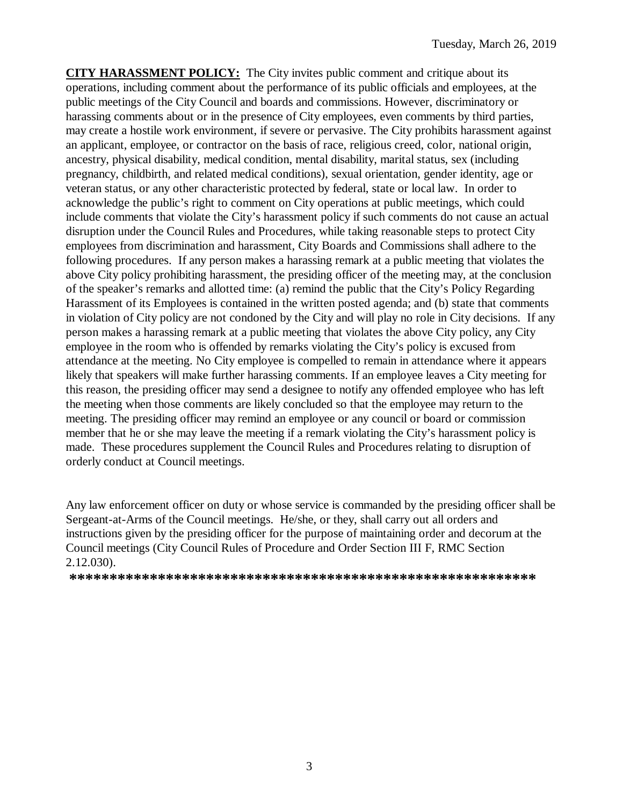**CITY HARASSMENT POLICY:** The City invites public comment and critique about its operations, including comment about the performance of its public officials and employees, at the public meetings of the City Council and boards and commissions. However, discriminatory or harassing comments about or in the presence of City employees, even comments by third parties, may create a hostile work environment, if severe or pervasive. The City prohibits harassment against an applicant, employee, or contractor on the basis of race, religious creed, color, national origin, ancestry, physical disability, medical condition, mental disability, marital status, sex (including pregnancy, childbirth, and related medical conditions), sexual orientation, gender identity, age or veteran status, or any other characteristic protected by federal, state or local law. In order to acknowledge the public's right to comment on City operations at public meetings, which could include comments that violate the City's harassment policy if such comments do not cause an actual disruption under the Council Rules and Procedures, while taking reasonable steps to protect City employees from discrimination and harassment, City Boards and Commissions shall adhere to the following procedures. If any person makes a harassing remark at a public meeting that violates the above City policy prohibiting harassment, the presiding officer of the meeting may, at the conclusion of the speaker's remarks and allotted time: (a) remind the public that the City's Policy Regarding Harassment of its Employees is contained in the written posted agenda; and (b) state that comments in violation of City policy are not condoned by the City and will play no role in City decisions. If any person makes a harassing remark at a public meeting that violates the above City policy, any City employee in the room who is offended by remarks violating the City's policy is excused from attendance at the meeting. No City employee is compelled to remain in attendance where it appears likely that speakers will make further harassing comments. If an employee leaves a City meeting for this reason, the presiding officer may send a designee to notify any offended employee who has left the meeting when those comments are likely concluded so that the employee may return to the meeting. The presiding officer may remind an employee or any council or board or commission member that he or she may leave the meeting if a remark violating the City's harassment policy is made. These procedures supplement the Council Rules and Procedures relating to disruption of orderly conduct at Council meetings.

Any law enforcement officer on duty or whose service is commanded by the presiding officer shall be Sergeant-at-Arms of the Council meetings. He/she, or they, shall carry out all orders and instructions given by the presiding officer for the purpose of maintaining order and decorum at the Council meetings (City Council Rules of Procedure and Order Section III F, RMC Section 2.12.030).

**\*\*\*\*\*\*\*\*\*\*\*\*\*\*\*\*\*\*\*\*\*\*\*\*\*\*\*\*\*\*\*\*\*\*\*\*\*\*\*\*\*\*\*\*\*\*\*\*\*\*\*\*\*\*\*\*\*\***